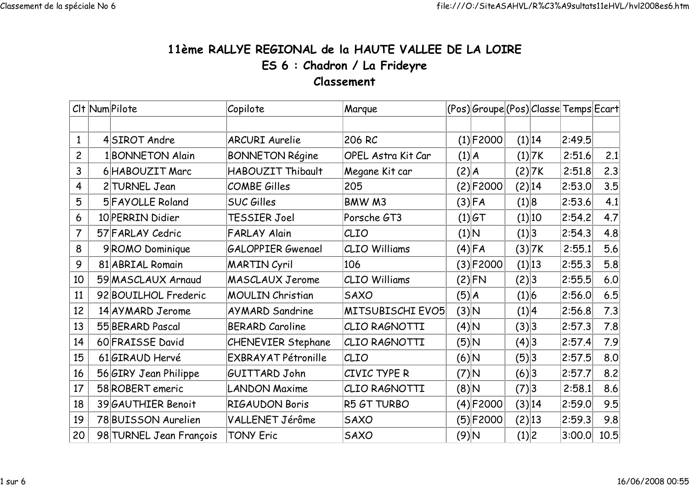## 11ème RALLYE REGIONAL de la HAUTE VALLEE DE LA LOIREES 6 : Chadron / La FrideyreClassement

|                | Clt Num Pilote          | Copilote                   | Marque                    | (Pos) Groupe (Pos) Classe Temps Ecart |             |        |          |        |      |
|----------------|-------------------------|----------------------------|---------------------------|---------------------------------------|-------------|--------|----------|--------|------|
|                |                         |                            |                           |                                       |             |        |          |        |      |
| $\mathbf{1}$   | 4SIROT Andre            | <b>ARCURI Aurelie</b>      | 206 RC                    |                                       | $(1)$ F2000 |        | (1) 14   | 2:49.5 |      |
| $\overline{c}$ | 1 BONNETON Alain        | <b>BONNETON Régine</b>     | <b>OPEL Astra Kit Car</b> | (1) A                                 |             |        | $(1)$ 7K | 2:51.6 | 2.1  |
| 3              | 6 HABOUZIT Marc         | HABOUZIT Thibault          | Megane Kit car            | $(2)$ $A$                             |             |        | (2) 7K   | 2:51.8 | 2.3  |
| 4              | 2 TURNEL Jean           | COMBE Gilles               | 205                       |                                       | (2) F2000   | (2) 14 |          | 2:53.0 | 3.5  |
| 5              | 5 FAYOLLE Roland        | <b>SUC Gilles</b>          | BMW M3                    |                                       | $(3)$ FA    | (1) 8  |          | 2:53.6 | 4.1  |
| 6              | 10 PERRIN Didier        | TESSIER Joel               | Porsche GT3               |                                       | (1) G       |        | (1) 10   | 2:54.2 | 4.7  |
| 7              | 57 FARLAY Cedric        | <b>FARLAY Alain</b>        | CLIO                      | (1) N                                 |             | (1) 3  |          | 2:54.3 | 4.8  |
| 8              | 9ROMO Dominique         | <b>GALOPPIER Gwenael</b>   | <b>CLIO Williams</b>      |                                       | $(4)$ FA    |        | (3) 7K   | 2:55.1 | 5.6  |
| 9              | 81 ABRIAL Romain        | <b>MARTIN Cyril</b>        | 106                       |                                       | (3) F2000   |        | (1) 13   | 2:55.3 | 5.8  |
| 10             | 59 MASCLAUX Arnaud      | <b>MASCLAUX Jerome</b>     | <b>CLIO Williams</b>      |                                       | $(2)$ FN    | (2) 3  |          | 2:55.5 | 6.0  |
| 11             | 92 BOUILHOL Frederic    | <b>MOULIN Christian</b>    | <b>SAXO</b>               | (5) A                                 |             | (1) 6  |          | 2:56.0 | 6.5  |
| 12             | 14 AY MARD Jerome       | <b>AYMARD Sandrine</b>     | MITSUBISCHI EVO5          | (3) N                                 |             | (1) 4  |          | 2:56.8 | 7.3  |
| 13             | 55 BERARD Pascal        | <b>BERARD Caroline</b>     | CLIO RAGNOTTI             | $(4)$ N                               |             | (3) 3  |          | 2:57.3 | 7.8  |
| 14             | 60 FRAISSE David        | <b>CHENEVIER Stephane</b>  | CLIO RAGNOTTI             | $(5)$ N                               |             | (4)3   |          | 2:57.4 | 7.9  |
| 15             | 61GIRAUD Hervé          | <b>EXBRAYAT Pétronille</b> | CLIO                      | $ A $ (6)                             |             | (5)3   |          | 2:57.5 | 8.0  |
| 16             | 56 GIRY Jean Philippe   | GUITTARD John              | CIVIC TYPE R              | $(7)$ N                               |             | (6) 3  |          | 2:57.7 | 8.2  |
| 17             | 58 ROBERT emeric        | <b>LANDON Maxime</b>       | CLIO RAGNOTTI             | A (8)                                 |             | (7) 3  |          | 2:58.1 | 8.6  |
| 18             | 39 GAUTHIER Benoit      | <b>RIGAUDON Boris</b>      | R5 GT TURBO               |                                       | $(4)$ F2000 | (3) 14 |          | 2:59.0 | 9.5  |
| 19             | 78 BUISSON Aurelien     | VALLENET Jérôme            | <b>SAXO</b>               |                                       | $(5)$ F2000 | (2) 13 |          | 2:59.3 | 9.8  |
| 20             | 98 TURNEL Jean François | <b>TONY Eric</b>           | <b>SAXO</b>               | $(9)$ N                               |             | (1) 2  |          | 3:00.0 | 10.5 |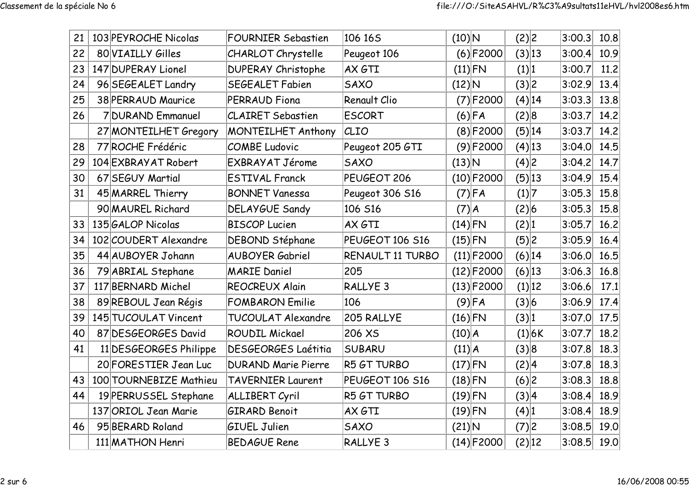| 21 | 103 PEYROCHE Nicolas   | <b>FOURNIER Sebastien</b>  | 106 165             | $(10)$ N  |              | (2) 2    | 3:00.3 | 10.8 |
|----|------------------------|----------------------------|---------------------|-----------|--------------|----------|--------|------|
| 22 | 80 VIAILLY Gilles      | CHARLOT Chrystelle         | Peugeot 106         |           | $(6)$ F2000  | (3) 13   | 3:00.4 | 10.9 |
| 23 | 147 DUPERAY Lionel     | <b>DUPERAY Christophe</b>  | AX GTI              |           | $(11)$ FN    | (1) 1    | 3:00.7 | 11.2 |
| 24 | 96 SEGEALET Landry     | <b>SEGEALET Fabien</b>     | <b>SAXO</b>         | $(12)$ N  |              | (3) 2    | 3:02.9 | 13.4 |
| 25 | 38 PERRAUD Maurice     | PERRAUD Fiona              | <b>Renault Clio</b> |           | $(7)$ F2000  | (4) 14   | 3:03.3 | 13.8 |
| 26 | 7 DURAND Emmanuel      | <b>CLAIRET Sebastien</b>   | <b>ESCORT</b>       |           | $(6)$ FA     | (2) 8    | 3:03.7 | 14.2 |
|    | 27 MONTEILHET Gregory  | <b>MONTEILHET Anthony</b>  | CLIO                |           | (8) F2000    | (5) 14   | 3:03.7 | 14.2 |
| 28 | 77 ROCHE Frédéric      | COMBE Ludovic              | Peugeot 205 GTI     |           | $(9)$ F2000  | $(4)$ 13 | 3:04.0 | 14.5 |
| 29 | 104 EXBRAYAT Robert    | <b>EXBRAYAT Jérome</b>     | <b>SAXO</b>         | $(13)$ N  |              | (4) 2    | 3:04.2 | 14.7 |
| 30 | 67 SEGUY Martial       | <b>ESTIVAL Franck</b>      | PEUGEOT 206         |           | $(10)$ F2000 | (5) 13   | 3:04.9 | 15.4 |
| 31 | 45 MARREL Thierry      | <b>BONNET Vanessa</b>      | Peugeot 306 S16     |           | $(7)$ FA     | (1) 7    | 3:05.3 | 15.8 |
|    | 90 MAUREL Richard      | <b>DELAYGUE Sandy</b>      | 106 S16             | $(7)$ $A$ |              | (2) 6    | 3:05.3 | 15.8 |
| 33 | 135 GALOP Nicolas      | <b>BISCOP Lucien</b>       | AX GTI              | $(14)$ FN |              | (2) 1    | 3:05.7 | 16.2 |
| 34 | 102 COUDERT Alexandre  | <b>DEBOND Stéphane</b>     | PEUGEOT 106 S16     | $(15)$ FN |              | (5) 2    | 3:05.9 | 16.4 |
| 35 | 44 AUBOYER Johann      | <b>AUBOYER Gabriel</b>     | RENAULT 11 TURBO    |           | $(11)$ F2000 | (6) 14   | 3:06.0 | 16.5 |
| 36 | 79 ABRIAL Stephane     | <b>MARIE Daniel</b>        | 205                 |           | $(12)$ F2000 | $(6)$ 13 | 3:06.3 | 16.8 |
| 37 | 117 BERNARD Michel     | <b>REOCREUX Alain</b>      | <b>RALLYE 3</b>     |           | $(13)$ F2000 | (1) 12   | 3:06.6 | 17.1 |
| 38 | 89 REBOUL Jean Régis   | <b>FOMBARON</b> Emilie     | 106                 |           | $(9)$ FA     | (3) 6    | 3:06.9 | 17.4 |
| 39 | 145 TUCOULAT Vincent   | TUCOULAT Alexandre         | 205 RALLYE          | $(16)$ FN |              | (3) 1    | 3:07.0 | 17.5 |
| 40 | 87 DESGEORGES David    | <b>ROUDIL Mickael</b>      | 206 XS              | (10) A    |              | (1) 6K   | 3:07.7 | 18.2 |
| 41 | 11 DESGEORGES Philippe | <b>DESGEORGES Laétitia</b> | <b>SUBARU</b>       | (11) A    |              | (3) 8    | 3:07.8 | 18.3 |
|    | 20 FORESTIER Jean Luc  | <b>DURAND Marie Pierre</b> | R5 GT TURBO         | $(17)$ FN |              | (2) 4    | 3:07.8 | 18.3 |
| 43 | 100 TOURNEBIZE Mathieu | <b>TAVERNIER Laurent</b>   | PEUGEOT 106 S16     | $(18)$ FN |              | (6) 2    | 3:08.3 | 18.8 |
| 44 | 19 PERRUSSEL Stephane  | <b>ALLIBERT Cyril</b>      | R5 GT TURBO         | $(19)$ FN |              | (3) 4    | 3:08.4 | 18.9 |
|    | 137 ORIOL Jean Marie   | <b>GIRARD Benoit</b>       | AX GTI              | $(19)$ FN |              | (4) 1    | 3:08.4 | 18.9 |
| 46 | 95 BERARD Roland       | <b>GIUEL Julien</b>        | <b>SAXO</b>         | $(21)$ N  |              | (7) 2    | 3:08.5 | 19.0 |
|    | 111 MATHON Henri       | <b>BEDAGUE Rene</b>        | RALLYE <sub>3</sub> |           | $(14)$ F2000 | (2) 12   | 3:08.5 | 19.0 |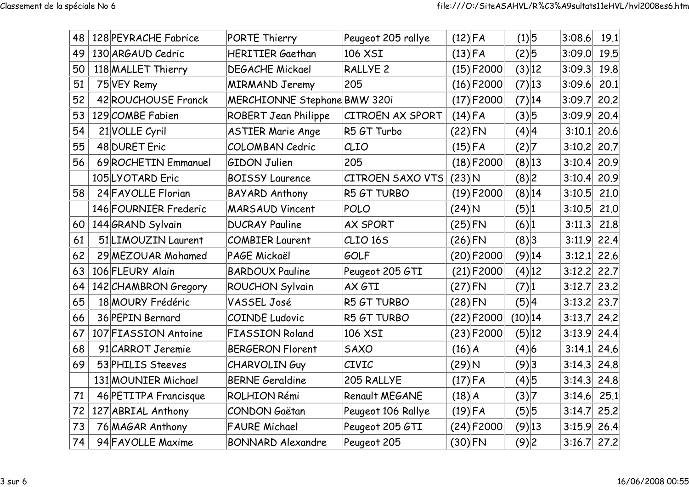| 48 | 128 PEYRACHE Fabrice  | PORTE Thierry                | Peugeot 205 rallye      | $(12)$ FA  |              | (1) 5     | 3:08.6        | 19.1 |
|----|-----------------------|------------------------------|-------------------------|------------|--------------|-----------|---------------|------|
| 49 | 130 ARGAUD Cedric     | <b>HERITIER Gaethan</b>      | 106 XSI                 | $(13)$ FA  |              | $(2)$ 5   | 3:09.0        | 19.5 |
| 50 | 118 MALLET Thierry    | <b>DEGACHE Mickael</b>       | RALLYE <sub>2</sub>     |            | $(15)$ F2000 | (3) 12    | 3:09.3        | 19.8 |
| 51 | 75 VEY Remy           | <b>MIRMAND Jeremy</b>        | 205                     |            | $(16)$ F2000 | (7) 13    | 3:09.6        | 20.1 |
| 52 | 42 ROUCHOUSE Franck   | MERCHIONNE Stephane BMW 320i |                         |            | $(17)$ F2000 | (7) 14    | 3:09.7        | 20.2 |
| 53 | 129 COMBE Fabien      | <b>ROBERT Jean Philippe</b>  | CITROEN AX SPORT        | $(14)$ FA  |              | (3) 5     | 3:09.9        | 20.4 |
| 54 | 21 VOLLE Cyril        | <b>ASTIER Marie Ange</b>     | R5 GT Turbo             | $(22)$ FN  |              | (4) 4     | 3:10.1        | 20.6 |
| 55 | 48 DURET Eric         | <b>COLOMBAN Cedric</b>       | CLIO                    | $(15)$ FA  |              | (2) 7     | 3:10.2        | 20.7 |
| 56 | 69 ROCHETIN Emmanuel  | <b>GIDON Julien</b>          | 205                     |            | $(18)$ F2000 | (8) 13    | 3:10.4        | 20.9 |
|    | 105LYOTARD Eric       | <b>BOISSY Laurence</b>       | <b>CITROEN SAXO VTS</b> | $(23)$ N   |              | (8)2      | 3:10.4        | 20.9 |
| 58 | 24 FAYOLLE Florian    | <b>BAYARD Anthony</b>        | R5 GT TURBO             |            | $(19)$ F2000 | (8) 14    | 3:10.5        | 21.0 |
|    | 146 FOURNIER Frederic | <b>MARSAUD Vincent</b>       | POLO                    | $(24)$ N   |              | (5) 1     | 3:10.5        | 21.0 |
| 60 | 144 GRAND Sylvain     | <b>DUCRAY Pauline</b>        | <b>AX SPORT</b>         | $(25)$ FN  |              | (6) 1     | 3:11.3        | 21.8 |
| 61 | 51 LIMOUZIN Laurent   | <b>COMBIER Laurent</b>       | CLIO <sub>165</sub>     | $(26)$ FN  |              | (8)3      | 3:11.9        | 22.4 |
| 62 | 29 MEZOUAR Mohamed    | PAGE Mickaël                 | <b>GOLF</b>             |            | $(20)$ F2000 | $(9)$ 14  | 3:12.1        | 22.6 |
| 63 | 106 FLEURY Alain      | <b>BARDOUX Pauline</b>       | Peugeot 205 GTI         |            | $(21)$ F2000 | $(4)$ 12  | $3:12.2$ 22.7 |      |
| 64 | 142 CHAMBRON Gregory  | <b>ROUCHON Sylvain</b>       | AX GTI                  | $(27)$ FN  |              | (7) 1     | 3:12.7        | 23.2 |
| 65 | 18 MOURY Frédéric     | VASSEL José                  | R5 GT TURBO             | $(28)$ FN  |              | (5) 4     | 3:13.2        | 23.7 |
| 66 | 36 PEPIN Bernard      | <b>COINDE Ludovic</b>        | R5 GT TURBO             |            | $(22)$ F2000 | $(10)$ 14 | 3:13.7        | 24.2 |
| 67 | 107 FIASSION Antoine  | <b>FIASSION Roland</b>       | 106 XSI                 |            | $(23)$ F2000 | (5) 12    | 3:13.9        | 24.4 |
| 68 | 91 CARROT Jeremie     | <b>BERGERON Florent</b>      | <b>SAXO</b>             | (16) A     |              | $(4)$ 6   | 3:14.1        | 24.6 |
| 69 | 53 PHILIS Steeves     | <b>CHARVOLINGuy</b>          | CIVIC                   | $(29)$ N   |              | (9)3      | 3:14.3        | 24.8 |
|    | 131 MOUNIER Michael   | <b>BERNE Geraldine</b>       | 205 RALLYE              | $(17)$ FA  |              | (4)5      | 3:14.3        | 24.8 |
| 71 | 46 PETITPA Francisque | ROLHION Rémi                 | Renault MEGANE          | $(18)$ $A$ |              | (3) 7     | 3:14.6        | 25.1 |
| 72 | 127 ABRIAL Anthony    | CONDON Gaëtan                | Peugeot 106 Rallye      | $(19)$ FA  |              | (5) 5     | 3:14.7        | 25.2 |
| 73 | 76 MAGAR Anthony      | <b>FAURE Michael</b>         | Peugeot 205 GTI         |            | $(24)$ F2000 | $(9)$ 13  | 3:15.9        | 26.4 |
| 74 | 94 FAYOLLE Maxime     | <b>BONNARD Alexandre</b>     | Peugeot 205             | $(30)$ FN  |              | (9)2      | $3:16.7$ 27.2 |      |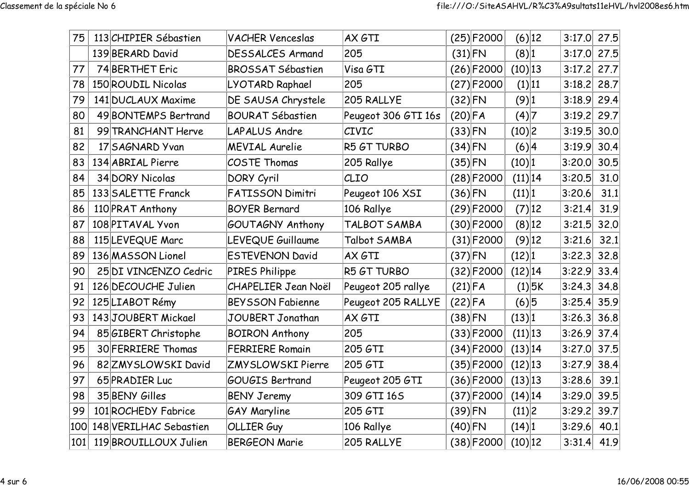| 75  | 113 CHIPIER Sébastien  | <b>VACHER Venceslas</b>    | AX GTI              |           | $(25)$ F2000 | $(6)$ 12   | 3:17.0 | 27.5 |
|-----|------------------------|----------------------------|---------------------|-----------|--------------|------------|--------|------|
|     | 139 BERARD David       | <b>DESSALCES Armand</b>    | 205                 | $(31)$ FN |              | (8) 1      | 3:17.0 | 27.5 |
| 77  | 74 BERTHET Eric        | <b>BROSSAT Sébastien</b>   | Visa GTI            |           | $(26)$ F2000 | $(10)$ 13  | 3:17.2 | 27.7 |
| 78  | 150 ROUDIL Nicolas     | LYOTARD Raphael            | 205                 |           | $(27)$ F2000 | (1) 11     | 3:18.2 | 28.7 |
| 79  | 141 DUCLAUX Maxime     | DE SAUSA Chrystele         | 205 RALLYE          | $(32)$ FN |              | $(9)$  1   | 3:18.9 | 29.4 |
| 80  | 49 BONTEMPS Bertrand   | <b>BOURAT Sébastien</b>    | Peugeot 306 GTI 16s | $(20)$ FA |              | (4) 7      | 3:19.2 | 29.7 |
| 81  | 99 TRANCHANT Herve     | <b>LAPALUS Andre</b>       | <b>CIVIC</b>        | $(33)$ FN |              | (10) 2     | 3:19.5 | 30.0 |
| 82  | 17 SAGNARD Yvan        | <b>MEVIAL Aurelie</b>      | R5 GT TURBO         | $(34)$ FN |              | (6) 4      | 3:19.9 | 30.4 |
| 83  | 134 ABRIAL Pierre      | COSTE Thomas               | 205 Rallye          | $(35)$ FN |              | (10) 1     | 3:20.0 | 30.5 |
| 84  | 34 DORY Nicolas        | DORY Cyril                 | CLIO                |           | $(28)$ F2000 | (11) 14    | 3:20.5 | 31.0 |
| 85  | 133 SALETTE Franck     | <b>FATISSON Dimitri</b>    | Peugeot 106 XSI     | $(36)$ FN |              | (11) 1     | 3:20.6 | 31.1 |
| 86  | 110 PRAT Anthony       | <b>BOYER Bernard</b>       | 106 Rallye          |           | $(29)$ F2000 | (7) 12     | 3:21.4 | 31.9 |
| 87  | 108 PITAVAL Yvon       | GOUTAGNY Anthony           | TALBOT SAMBA        |           | $(30)$ F2000 | $(8)$ 12   | 3:21.5 | 32.0 |
| 88  | 115 LEVEQUE Marc       | LEVEQUE Guillaume          | Talbot SAMBA        |           | $(31)$ F2000 | $(9)$ 12   | 3:21.6 | 32.1 |
| 89  | 136 MASSON Lionel      | <b>ESTEVENON David</b>     | AX GTI              | $(37)$ FN |              | (12) 1     | 3:22.3 | 32.8 |
| 90  | 25 DI VINCENZO Cedric  | PIRES Philippe             | R5 GT TURBO         |           | $(32)$ F2000 | $(12)$  14 | 3:22.9 | 33.4 |
| 91  | 126 DECOUCHE Julien    | <b>CHAPELIER Jean Noël</b> | Peugeot 205 rallye  | $(21)$ FA |              | $(1)$ 5K   | 3:24.3 | 34.8 |
| 92  | 125 LIABOT Rémy        | <b>BEYSSON Fabienne</b>    | Peugeot 205 RALLYE  | $(22)$ FA |              | (6) 5      | 3:25.4 | 35.9 |
| 93  | 143JOUBERT Mickael     | JOUBERT Jonathan           | AX GTI              | $(38)$ FN |              | (13) 1     | 3:26.3 | 36.8 |
| 94  | 85 GIBERT Christophe   | <b>BOIRON Anthony</b>      | 205                 |           | $(33)$ F2000 | (11) 13    | 3:26.9 | 37.4 |
| 95  | 30 FERRIERE Thomas     | <b>FERRIERE Romain</b>     | 205 GTI             |           | $(34)$ F2000 | (13) 14    | 3:27.0 | 37.5 |
| 96  | 82 ZMY SLOWSKI David   | <b>ZMYSLOWSKI Pierre</b>   | 205 GTI             |           | $(35)$ F2000 | $(12)$ 13  | 3:27.9 | 38.4 |
| 97  | 65 PRADIER Luc         | GOUGIS Bertrand            | Peugeot 205 GTI     |           | $(36)$ F2000 | $(13)$  13 | 3:28.6 | 39.1 |
| 98  | 35 BENY Gilles         | <b>BENY Jeremy</b>         | 309 GTI 16S         |           | $(37)$ F2000 | $(14)$  14 | 3:29.0 | 39.5 |
| 99  | 101 ROCHEDY Fabrice    | <b>GAY Maryline</b>        | 205 GTI             | $(39)$ FN |              | (11) 2     | 3:29.2 | 39.7 |
| 100 | 148 VERILHAC Sebastien | <b>OLLIER Guy</b>          | 106 Rallye          | $(40)$ FN |              | (14) 1     | 3:29.6 | 40.1 |
| 101 | 119 BROUILLOUX Julien  | <b>BERGEON Marie</b>       | 205 RALLYE          |           | $(38)$ F2000 | $(10)$ 12  | 3:31.4 | 41.9 |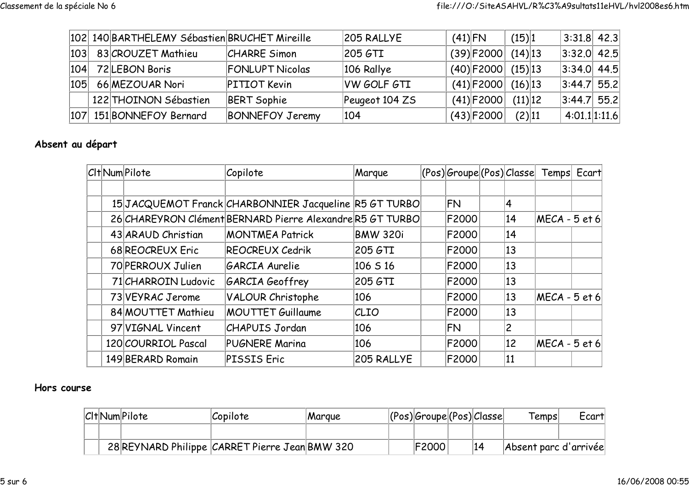|  | 102 140 BARTHELEMY Sébastien BRUCHET Mireille |                        | 205 RALLYE         | $(41)$ FN |              | (15) 1     | $ 3:31.8 $ 42.3 |  |
|--|-----------------------------------------------|------------------------|--------------------|-----------|--------------|------------|-----------------|--|
|  | 103 83 CROUZET Mathieu                        | <b>CHARRE Simon</b>    | 205 GTI            |           | $(39)$ F2000 | $(14)$  13 | $ 3:32.0 $ 42.5 |  |
|  | 104 72LEBON Boris                             | <b>FONLUPT Nicolas</b> | 106 Rallye         |           | $(40)$ F2000 | $(15)$  13 | $ 3:34.0 $ 44.5 |  |
|  | 105 66 MEZOUAR Nori                           | <b>PITIOT Kevin</b>    | <b>VW GOLF GTI</b> |           | $(41)$ F2000 | $(16)$  13 | $ 3:44.7 $ 55.2 |  |
|  | 122 THOINON Sébastien                         | <b>BERT Sophie</b>     | Peugeot 104 ZS     |           | $(41)$ F2000 | (11) 12    | $ 3:44.7 $ 55.2 |  |
|  | 107 151 BONNEFOY Bernard                      | <b>BONNEFOY Jeremy</b> | 104                |           | $(43)$ F2000 | (2) 11     | 4:01.1 1:11.6   |  |

## Absent au départ

|  | Clt Num Pilote      | Copilote                                                  | Marque          |              |    | (Pos) Groupe (Pos) Classe  Temps  Ecart |  |
|--|---------------------|-----------------------------------------------------------|-----------------|--------------|----|-----------------------------------------|--|
|  |                     |                                                           |                 |              |    |                                         |  |
|  |                     | 15 JACQUEMOT Franck CHARBONNIER Jacqueline R5 GT TURBO    |                 | FN           | 4  |                                         |  |
|  |                     | 26 CHAREYRON Clément BERNARD Pierre Alexandre R5 GT TURBO |                 | F2000        | 14 | $MECA - 5$ et 6                         |  |
|  | 43 ARAUD Christian  | <b>MONTMEA Patrick</b>                                    | <b>BMW 320i</b> | F2000        | 14 |                                         |  |
|  | 68 REOCREUX Eric    | <b>REOCREUX Cedrik</b>                                    | 205 GTI         | F2000        | 13 |                                         |  |
|  | 70 PERROUX Julien   | GARCIA Aurelie                                            | 106 S 16        | <b>F2000</b> | 13 |                                         |  |
|  | 71 CHARROIN Ludovic | GARCIA Geoffrey                                           | 205 GTI         | <b>F2000</b> | 13 |                                         |  |
|  | 73 VEYRAC Jerome    | <b>VALOUR Christophe</b>                                  | 106             | <b>F2000</b> | 13 | $MECA - 5$ et 6                         |  |
|  | 84 MOUTTET Mathieu  | <b>MOUTTET Guillaume</b>                                  | CLIO            | F2000        | 13 |                                         |  |
|  | 97 VIGNAL Vincent   | <b>CHAPUIS Jordan</b>                                     | 106             | <b>FN</b>    | 2  |                                         |  |
|  | 120 COURRIOL Pascal | <b>PUGNERE Marina</b>                                     | 106             | F2000        | 12 | $MECA - 5$ et 6                         |  |
|  | 149 BERARD Romain   | <b>PISSIS Eric</b>                                        | 205 RALLYE      | F2000        | 11 |                                         |  |

## Hors course

|  | Clt Num Pilote | Copilote                                       | Margue | $ ({\rm Pos}) $ Groupe $ ({\rm Pos}) $ Classe |    | $\mathsf{T}$ emps $\mathsf{T}$ | Ecart <sup>1</sup> |
|--|----------------|------------------------------------------------|--------|-----------------------------------------------|----|--------------------------------|--------------------|
|  |                |                                                |        |                                               |    |                                |                    |
|  |                | 28 REYNARD Philippe CARRET Pierre Jean BMW 320 |        | F2000                                         | 14 | Absent parc d'arrivée          |                    |